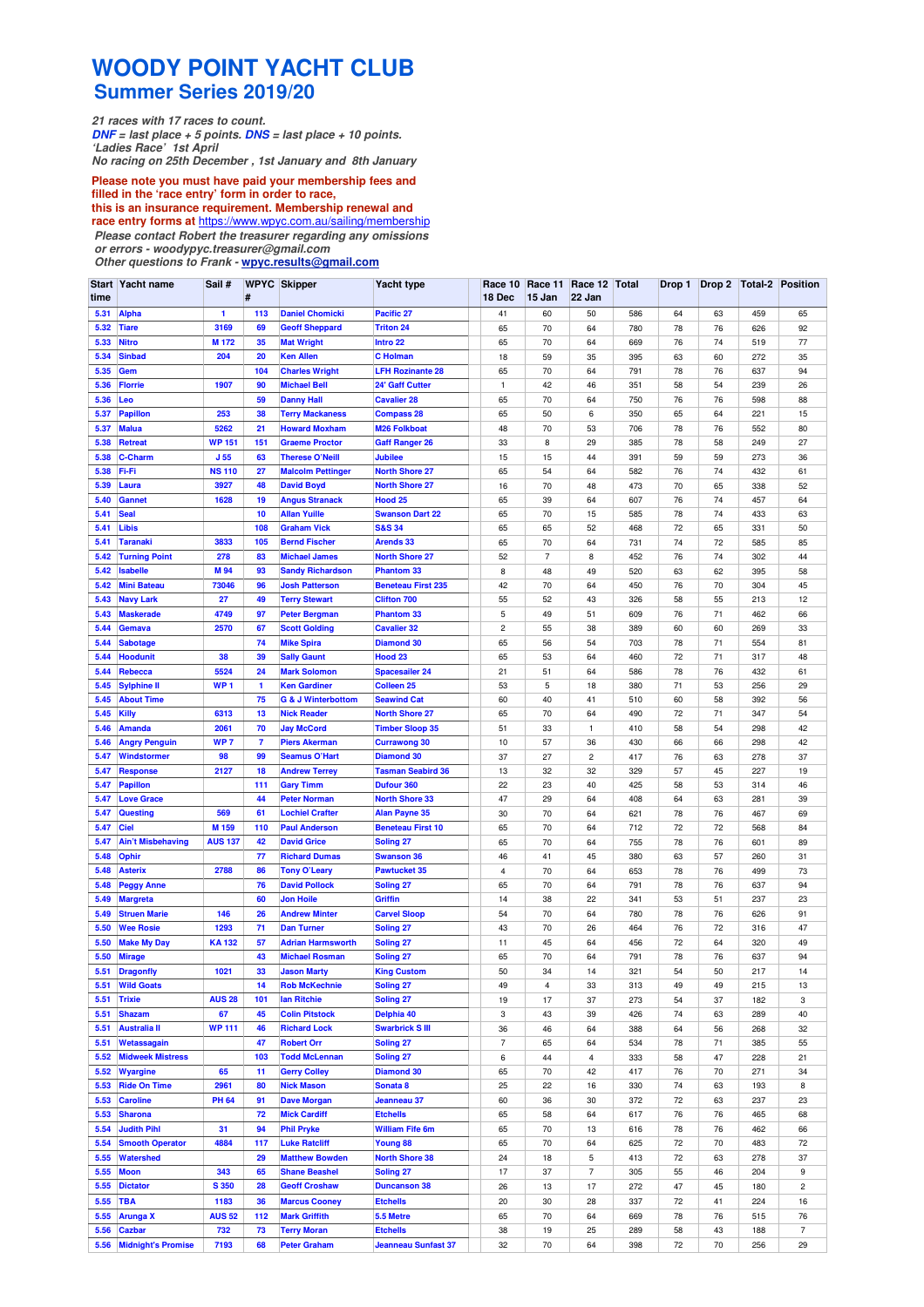## **WOODY POINT YACHT CLUB Summer Series 2019/20**

**21 races with 17 races to count. DNF = last place + 5 points. DNS = last place + 10 points. 'Ladies Race' 1st April No racing on 25th December , 1st January and 8th January**

**Please note you must have paid your membership fees and**

**filled in the 'race entry' form in order to race, this is an insurance requirement. Membership renewal and race entry forms at** https://www.wpyc.com.au/sailing/membership **Please contact Robert the treasurer regarding any omissions or errors - woodypyc.treasurer@gmail.com** 

**Other questions to Frank - wpyc.results@gmail.com**

| time         | Start Yacht name                    | Sail #           | #        | <b>WPYC Skipper</b>                               | <b>Yacht type</b>                       | 18 Dec                       | Race 10 Race 11<br>15 Jan | Race 12 Total<br>22 Jan |            |          |          |            | Drop 1   Drop 2   Total-2   Position |
|--------------|-------------------------------------|------------------|----------|---------------------------------------------------|-----------------------------------------|------------------------------|---------------------------|-------------------------|------------|----------|----------|------------|--------------------------------------|
| 5.31         | <b>Alpha</b>                        | $\mathbf{1}$     | 113      | <b>Daniel Chomicki</b>                            | Pacific 27                              | 41                           | 60                        | 50                      | 586        | 64       | 63       | 459        | 65                                   |
| 5.32         | <b>Tiare</b>                        | 3169             | 69       | <b>Geoff Sheppard</b>                             | <b>Triton 24</b>                        | 65                           | 70                        | 64                      | 780        | 78       | 76       | 626        | 92                                   |
| 5.33         | <b>Nitro</b>                        | M <sub>172</sub> | 35       | <b>Mat Wright</b>                                 | Intro 22                                | 65                           | 70                        | 64                      | 669        | 76       | 74       | 519        | 77                                   |
| 5.34         | <b>Sinbad</b>                       | 204              | 20       | <b>Ken Allen</b>                                  | <b>C</b> Holman                         | 18                           | 59                        | 35                      | 395        | 63       | 60       | 272        | 35                                   |
| 5.35         | <b>Gem</b>                          |                  | 104      | <b>Charles Wright</b>                             | <b>LFH Rozinante 28</b>                 | 65                           | 70                        | 64                      | 791        | 78       | 76       | 637        | 94                                   |
| 5.36         | <b>Florrie</b>                      | 1907             | 90       | <b>Michael Bell</b>                               | 24' Gaff Cutter                         | 1                            | 42                        | 46                      | 351        | 58       | 54       | 239        | 26                                   |
| 5.36         | Leo                                 |                  | 59       | <b>Danny Hall</b>                                 | <b>Cavalier 28</b>                      | 65                           | 70                        | 64                      | 750        | 76       | 76       | 598        | 88                                   |
| 5.37         | <b>Papillon</b>                     | 253              | 38       | <b>Terry Mackaness</b>                            | <b>Compass 28</b>                       | 65                           | 50                        | 6                       | 350        | 65       | 64       | 221        | 15                                   |
| 5.37         | <b>Malua</b>                        | 5262             | 21       | <b>Howard Moxham</b>                              | <b>M26 Folkboat</b>                     | 48                           | 70                        | 53                      | 706        | 78       | 76       | 552        | 80                                   |
| 5.38         | <b>Retreat</b>                      | <b>WP 151</b>    | 151      | <b>Graeme Proctor</b>                             | <b>Gaff Ranger 26</b>                   | 33                           | 8                         | 29                      | 385        | 78       | 58       | 249        | 27                                   |
| 5.38         | <b>C-Charm</b>                      | J <sub>55</sub>  | 63       | <b>Therese O'Neill</b>                            | <b>Jubilee</b>                          | 15                           | 15                        | 44                      | 391        | 59       | 59       | 273        | 36                                   |
| 5.38         | Fi-Fi                               | <b>NS 110</b>    | 27       | <b>Malcolm Pettinger</b>                          | <b>North Shore 27</b>                   | 65                           | 54                        | 64                      | 582        | 76       | 74       | 432        | 61                                   |
| 5.39         | Laura                               | 3927             | 48       | <b>David Boyd</b>                                 | <b>North Shore 27</b>                   | 16                           | 70                        | 48                      | 473        | 70       | 65       | 338        | 52                                   |
| 5.40         | <b>Gannet</b>                       | 1628             | 19       | <b>Angus Stranack</b>                             | Hood <sub>25</sub>                      | 65                           | 39                        | 64                      | 607        | 76       | 74       | 457        | 64                                   |
| 5.41         | <b>Seal</b>                         |                  | 10       | <b>Allan Yuille</b>                               | <b>Swanson Dart 22</b>                  | 65                           | 70                        | 15                      | 585        | 78       | 74       | 433        | 63                                   |
| 5.41         | <b>Libis</b>                        |                  | 108      | <b>Graham Vick</b>                                | <b>S&amp;S 34</b>                       | 65                           | 65                        | 52                      | 468        | 72       | 65       | 331        | 50                                   |
| 5.41         | <b>Taranaki</b>                     | 3833             | 105      | <b>Bernd Fischer</b>                              | <b>Arends 33</b>                        | 65                           | 70                        | 64                      | 731        | 74       | 72       | 585        | 85                                   |
| 5.42         | <b>Turning Point</b>                | 278              | 83       | <b>Michael James</b>                              | <b>North Shore 27</b>                   | 52                           | $\overline{7}$            | 8                       | 452        | 76       | 74       | 302        | 44                                   |
| 5.42         | <b>Isabelle</b>                     | M 94             | 93       | <b>Sandy Richardson</b>                           | <b>Phantom 33</b>                       | 8                            | 48                        | 49                      | 520        | 63       | 62       | 395        | 58                                   |
| 5.42         | <b>Mini Bateau</b>                  | 73046            | 96       | <b>Josh Patterson</b>                             | <b>Beneteau First 235</b>               | 42                           | 70                        | 64                      | 450        | 76       | 70       | 304        | 45                                   |
| 5.43<br>5.43 | <b>Navy Lark</b>                    | 27<br>4749       | 49<br>97 | <b>Terry Stewart</b>                              | <b>Clifton 700</b><br><b>Phantom 33</b> | 55                           | 52                        | 43                      | 326        | 58       | 55       | 213        | 12                                   |
| 5.44         | <b>Maskerade</b><br><b>Gemava</b>   | 2570             | 67       | <b>Peter Bergman</b><br><b>Scott Golding</b>      | <b>Cavalier 32</b>                      | 5<br>$\overline{\mathbf{c}}$ | 49<br>55                  | 51<br>38                | 609<br>389 | 76<br>60 | 71<br>60 | 462<br>269 | 66<br>33                             |
| 5.44         | <b>Sabotage</b>                     |                  | 74       | <b>Mike Spira</b>                                 | <b>Diamond 30</b>                       | 65                           | 56                        | 54                      | 703        | 78       | 71       | 554        | 81                                   |
| 5.44         | <b>Hoodunit</b>                     | 38               | 39       | <b>Sally Gaunt</b>                                | Hood <sub>23</sub>                      | 65                           | 53                        | 64                      | 460        | 72       | 71       | 317        | 48                                   |
| 5.44         | Rebecca                             | 5524             | 24       | <b>Mark Solomon</b>                               | <b>Spacesailer 24</b>                   | 21                           | 51                        | 64                      | 586        | 78       | 76       | 432        | 61                                   |
| 5.45         | <b>Sylphine II</b>                  | WP <sub>1</sub>  | 1        | <b>Ken Gardiner</b>                               | <b>Colleen 25</b>                       | 53                           | 5                         | 18                      | 380        | 71       | 53       | 256        | 29                                   |
| 5.45         | <b>About Time</b>                   |                  | 75       | <b>G &amp; J Winterbottom</b>                     | <b>Seawind Cat</b>                      | 60                           | 40                        | 41                      | 510        | 60       | 58       | 392        | 56                                   |
| 5.45         | Killy                               | 6313             | 13       | <b>Nick Reader</b>                                | <b>North Shore 27</b>                   | 65                           | 70                        | 64                      | 490        | 72       | 71       | 347        | 54                                   |
| 5.46         | <b>Amanda</b>                       | 2061             | 70       | <b>Jay McCord</b>                                 | <b>Timber Sloop 35</b>                  | 51                           | 33                        | $\mathbf{1}$            | 410        | 58       | 54       | 298        | 42                                   |
| 5.46         | <b>Angry Penguin</b>                | WP <sub>7</sub>  | 7        | <b>Piers Akerman</b>                              | <b>Currawong 30</b>                     | 10                           | 57                        | 36                      | 430        | 66       | 66       | 298        | 42                                   |
| 5.47         | Windstormer                         | 98               | 99       | <b>Seamus O'Hart</b>                              | <b>Diamond 30</b>                       | 37                           | 27                        | $\overline{c}$          | 417        | 76       | 63       | 278        | 37                                   |
| 5.47         | <b>Response</b>                     | 2127             | 18       | <b>Andrew Terrey</b>                              | <b>Tasman Seabird 36</b>                | 13                           | 32                        | 32                      | 329        | 57       | 45       | 227        | 19                                   |
| 5.47         | <b>Papillon</b>                     |                  | 111      | <b>Gary Timm</b>                                  | <b>Dufour 360</b>                       | 22                           | 23                        | 40                      | 425        | 58       | 53       | 314        | 46                                   |
| 5.47         | <b>Love Grace</b>                   |                  | 44       | <b>Peter Norman</b>                               | <b>North Shore 33</b>                   | 47                           | 29                        | 64                      | 408        | 64       | 63       | 281        | 39                                   |
| 5.47         | <b>Questing</b>                     | 569              | 61       | <b>Lochiel Crafter</b>                            | <b>Alan Payne 35</b>                    | 30                           | 70                        | 64                      | 621        | 78       | 76       | 467        | 69                                   |
| 5.47         | <b>Ciel</b>                         | M 159            | 110      | <b>Paul Anderson</b>                              | <b>Beneteau First 10</b>                | 65                           | 70                        | 64                      | 712        | 72       | 72       | 568        | 84                                   |
| 5.47         | <b>Ain't Misbehaving</b>            | <b>AUS 137</b>   | 42       | <b>David Grice</b>                                | <b>Soling 27</b>                        | 65                           | 70                        | 64                      | 755        | 78       | 76       | 601        | 89                                   |
| 5.48         | <b>Ophir</b>                        |                  | 77       | <b>Richard Dumas</b>                              | <b>Swanson 36</b>                       | 46                           | 41                        | 45                      | 380        | 63       | 57       | 260        | 31                                   |
| 5.48         | <b>Asterix</b>                      | 2788             | 86       | <b>Tony O'Leary</b>                               | <b>Pawtucket 35</b>                     | 4                            | 70                        | 64                      | 653        | 78       | 76       | 499        | 73                                   |
| 5.48         | <b>Peggy Anne</b>                   |                  | 76       | <b>David Pollock</b>                              | <b>Soling 27</b>                        | 65                           | 70                        | 64                      | 791        | 78       | 76       | 637        | 94                                   |
| 5.49         | <b>Margreta</b>                     |                  | 60       | <b>Jon Hoile</b>                                  | <b>Griffin</b>                          | 14                           | 38                        | 22                      | 341        | 53       | 51       | 237        | 23                                   |
| 5.49         | <b>Struen Marie</b>                 | 146              | 26       | <b>Andrew Minter</b>                              | <b>Carvel Sloop</b>                     | 54                           | 70                        | 64                      | 780        | 78       | 76       | 626        | 91                                   |
| 5.50         | <b>Wee Rosie</b>                    | 1293             | 71       | <b>Dan Turner</b>                                 | <b>Soling 27</b>                        | 43                           | 70                        | 26                      | 464        | 76       | 72       | 316        | 47                                   |
| 5.50<br>5.50 | <b>Make My Day</b><br><b>Mirage</b> | <b>KA132</b>     | 57<br>43 | <b>Adrian Harmsworth</b><br><b>Michael Rosman</b> | <b>Soling 27</b><br><b>Soling 27</b>    | 11<br>65                     | 45<br>70                  | 64<br>64                | 456<br>791 | 72<br>78 | 64<br>76 | 320<br>637 | 49<br>94                             |
| 5.51         | <b>Dragonfly</b>                    | 1021             | 33       | <b>Jason Marty</b>                                | <b>King Custom</b>                      | 50                           | 34                        | 14                      | 321        | 54       | 50       | 217        | 14                                   |
| 5.51         | <b>Wild Goats</b>                   |                  | 14       | <b>Rob McKechnie</b>                              | <b>Soling 27</b>                        | 49                           | 4                         | 33                      | 313        | 49       | 49       | 215        | 13                                   |
| 5.51         | <b>Trixie</b>                       | <b>AUS 28</b>    | 101      | lan Ritchie                                       | <b>Soling 27</b>                        | 19                           | 17                        | 37                      | 273        | 54       | 37       | 182        | 3                                    |
| 5.51         | <b>Shazam</b>                       | 67               | 45       | <b>Colin Pitstock</b>                             | Delphia 40                              | 3                            | 43                        | 39                      | 426        | 74       | 63       | 289        | 40                                   |
| 5.51         | <b>Australia II</b>                 | <b>WP111</b>     | 46       | <b>Richard Lock</b>                               | <b>Swarbrick S III</b>                  | 36                           | 46                        | 64                      | 388        | 64       | 56       | 268        | 32                                   |
| 5.51         | Wetassagain                         |                  | 47       | <b>Robert Orr</b>                                 | <b>Soling 27</b>                        | $\overline{\phantom{a}}$     | 65                        | 64                      | 534        | 78       | 71       | 385        | 55                                   |
| 5.52         | <b>Midweek Mistress</b>             |                  | 103      | <b>Todd McLennan</b>                              | <b>Soling 27</b>                        | 6                            | 44                        | $\overline{4}$          | 333        | 58       | 47       | 228        | 21                                   |
| 5.52         | Wyargine                            | 65               | 11       | <b>Gerry Colley</b>                               | <b>Diamond 30</b>                       | 65                           | 70                        | 42                      | 417        | 76       | 70       | 271        | 34                                   |
| 5.53         | <b>Ride On Time</b>                 | 2961             | 80       | <b>Nick Mason</b>                                 | Sonata <sub>8</sub>                     | 25                           | 22                        | 16                      | 330        | 74       | 63       | 193        | 8                                    |
| 5.53         | <b>Caroline</b>                     | <b>PH 64</b>     | 91       | <b>Dave Morgan</b>                                | Jeanneau 37                             | 60                           | 36                        | 30                      | 372        | 72       | 63       | 237        | 23                                   |
| 5.53         | <b>Sharona</b>                      |                  | 72       | <b>Mick Cardiff</b>                               | <b>Etchells</b>                         | 65                           | 58                        | 64                      | 617        | 76       | 76       | 465        | 68                                   |
| 5.54         | <b>Judith Pihl</b>                  | 31               | 94       | <b>Phil Pryke</b>                                 | <b>William Fife 6m</b>                  | 65                           | 70                        | 13                      | 616        | 78       | 76       | 462        | 66                                   |
| 5.54         | <b>Smooth Operator</b>              | 4884             | 117      | <b>Luke Ratcliff</b>                              | <b>Young 88</b>                         | 65                           | 70                        | 64                      | 625        | 72       | 70       | 483        | 72                                   |
| 5.55         | Watershed                           |                  | 29       | <b>Matthew Bowden</b>                             | <b>North Shore 38</b>                   | 24                           | 18                        | 5                       | 413        | 72       | 63       | 278        | 37                                   |
| 5.55         | <b>Moon</b>                         | 343              | 65       | <b>Shane Beashel</b>                              | <b>Soling 27</b>                        | 17                           | 37                        | $\overline{7}$          | 305        | 55       | 46       | 204        | 9                                    |
| 5.55         | <b>Dictator</b>                     | S 350            | 28       | <b>Geoff Croshaw</b>                              | <b>Duncanson 38</b>                     | 26                           | 13                        | 17                      | 272        | 47       | 45       | 180        | $\overline{c}$                       |
| 5.55         | <b>TBA</b>                          | 1183             | 36       | <b>Marcus Cooney</b>                              | <b>Etchells</b>                         | 20                           | 30                        | 28                      | 337        | 72       | 41       | 224        | 16                                   |
| 5.55         | <b>Arunga X</b>                     | <b>AUS 52</b>    | 112      | <b>Mark Griffith</b>                              | 5.5 Metre                               | 65                           | 70                        | 64                      | 669        | 78       | 76       | 515        | 76                                   |
| 5.56         | <b>Cazbar</b>                       | 732              | 73       | <b>Terry Moran</b>                                | <b>Etchells</b>                         | 38                           | 19                        | 25                      | 289        | 58       | 43       | 188        | $\overline{7}$                       |
|              | 5.56 Midnight's Promise             | 7193             | 68       | <b>Peter Graham</b>                               | <b>Jeanneau Sunfast 37</b>              | 32                           | 70                        | 64                      | 398        | 72       | 70       | 256        | 29                                   |